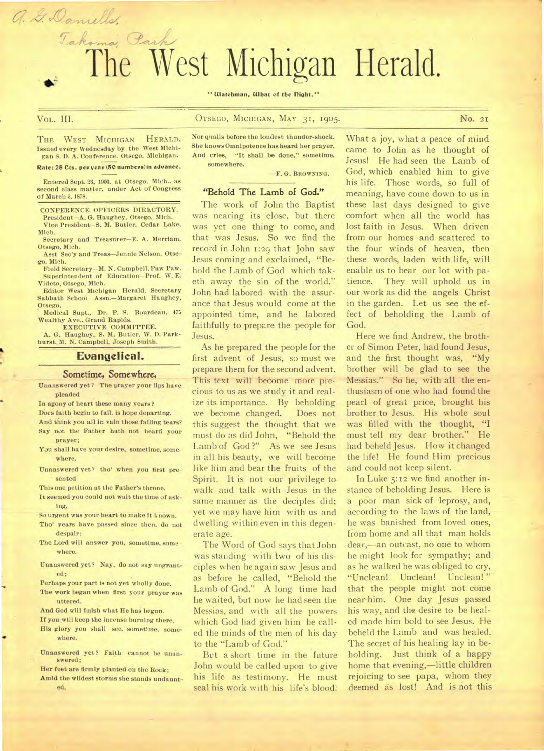# Takoma, Park The West Michigan Herald.

" Watchman, What of the Dight."

a. G. Daniells,

# VoL. **III.** OTSEGO,- MICHIGAN, MAY 31, 1905. **No.** 2I

THE WEST MICHIGAN HERALD. Issued every Wednesday by the West Michigan S. D. A. Conference. Otsego, Michigan.

#### Rate: 25 Cts. per year (50 numbers) in advance.

Entered Sept. 23, 1903. at Otsego. Mich.. as second class matter, under Act of Congress of March 3, 1878.

CONFERENCE OFFICERS DIRLCTORY.

President—A. G. Haughey, Otsego, Mich. Vice President—S. M. Butler, Cedar Lake, Mich.

Secretary and Treasurer—E. A. Merriam. Otsego. Mich.

Asst Sec'y and Treas—Jennie Nelson, Otsego. Mich.

Field Secretary—M. N. Campbell. Paw Paw. Superintendent of Education—Prof. W. E. Videto, Otsego, Mich.

Editor West Michigan Herald, Secretary Sabbath School Assn.—Margaret Haughey, Otsego.

Medical Supt., Dr. P. S. Bourdeau, 475 Wealthy Ave.. Grand Rapids.

EXECUTIVE COMMITTEE. A. G. Haughey, S. M. Butler, W. D. Parkhurst. M. N. Campbell, Joseph Smith.

#### **Evangelical.**

#### Sometime, Somewhere.

Unanswered yet? The prayer your lips have pleaded

In agony of heart these many years?

- Does faith begin to fail. is hope departing.
- And think you all in vain those falling tears? Say not the Father bath not heard your prayer;
- You shall have your desire, sometime, somewhere.
- Unanswered yet? tho' when you first presented

This one petition at the Father's throne.

It seemed you could not watt the time of asking,

- So urgent was your heart to make it known. Tho' years have passed since then, do not despair ;
- The Lord will answer you, sometime, some where.
- Unanswered yet? Nay, do not say ungranted;
- Perhaps your part is not yet wholly done.
- The work began when first your prayer was uttered.

And God will finish what He has begun.

- If you will keep the incense burning there, His glory you shall see. sometime, some where.
- Unanswered yet? Faith cannot be unanswered;

Her feet are firmly planted on the Rock; Amid the wildest storms she stands undaunted,

Nor quails before the loudest thunder-shock. She knows Omnipotence has heard her prayer. And cries, "It shall be done," sometime. somewhere.

—F. G. **BROWNING.** 

# **"Behold The Lamb of God."**

The work of John the Baptist was nearing its close, but there was yet one thing to come, and that was Jesus. So we find the record in John 1:29 that John saw Jesus coming and exclaimed, "Behold fhe Lamb of God which taketh away the sin of the world." John had labored with the assurance that Jesus would come at the appointed time, and he labored faithfully to prepare the people for. Jesus.

As he prepared the people for the first advent of Jesus, so must we prepare them for the second advent. This text will become more precious to us as we study it and realize its importance. By beholding we become changed. Does not this suggest the thought that we must do as did John, "Behold the Lamb of God?" As we see Jesus in all his beauty, we will become like him and bear the fruits of the Spirit. It is not our privilege to walk and talk with Jesus in the same manner as the deciples did; yet we may have him with us and dwelling within even in this degenerate age.

The Word of God says that John was standing with two of his disciples when he again saw Jesus and as before he called, "Behold the Lamb of God." A long time had he waited, but now he had seen the Messias, and with all the powers which God had given him he called the minds of the men of his day to the "Lamb of God."

But a short time in the future John would be called upon to give his life as testimony. He must seal his work with his life's blood:

What a joy, what a peace of mind came to John as he thought of Jesus! He had seen the Lamb of God, whicb enabled him to give his life. Those words, so full of meaning, have come down to us in these last days designed to give comfort when all the world has lost faith in Jesus. When driven from our homes and scattered to the four winds of heaven, then these words, laden with life, will enable us to bear our lot with patience. They will uphold us in our work as did the angels Christ in the garden. Let us see the effect of beholding the Lamb of God.

Here we find Andrew, the brother of Simon Peter, had found Jesus, and the first thought was, "My brother will be glad to see the Messias." So he, with all the enthusiasm of one who had found the pearl of great price, brought his brother to Jesus. His whole soul was filled with the thought, **"I**  must tell my dear brother." He had beheld Jesus. How it changed the life! He found Him precious and could not keep silent.

In Luke 5:12 we find another instance of beholding Jesus. Here is a poor man sick of 'leprosy, and, according to the laws of the land, he was banished from loved ones, from home and all that man holds dear,—an outcast, no one to whom he might look for sympathy; and as he walked he was obliged to cry, "Unclean! Unclean! Unclean! " that the people might not come near him. One day Jesus passed his way, and the desire to be healed made him bold to see Jesus. Ile beheld the Lamb and was healed. The secret of his healing lay in beholding. Just think of a happy home that evening,—little children rejoicing to see papa, whom they deemed as lost! And **is** not this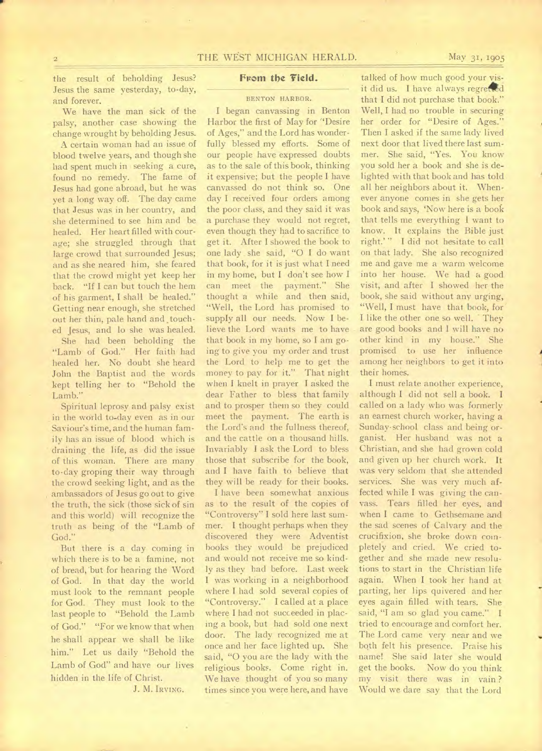the result of beholding Jesus? Jesus the same yesterday, to-day, and forever.

We have the man sick of the palsy, another case showing the change wrought by beholding Jesus.

A certain woman had an issue of blood twelve years, and though she had spent much in seeking a cure, found no remedy. The fame of Jesus had gone abroad, but he was yet a long way off. The day came that Jesus was in her country, and she determined to see him and be healed. Her heart filled with courage; she struggled through that large crowd that surrounded Jesus; and as she neared him, she feared that the crowd might yet keep her back. "If I can but touch the hem of his garment, I shall be healed." Getting near enough, she stretched out her thin, pale hand and touched Jesus, and lo she was healed.

She had been beholding the "Lamb of God." Her faith had healed her. No doubt she heard John the Baptist and the words kept telling her to "Behold the Lamb."

Spiritual leprosy and palsy exist in the world to-day even as in our Saviour's time, and the human family has an issue of blood which is draining the life, as did the issue of this woman. There are many to-day groping their way through the crowd seeking light, and as the ambassadors of Jesus go out to give the truth, the sick (those sick of sin and this world) will recognize the truth as being of the "Lamb of God."

But there is a day coming in which there is to be a famine, not of bread, 'but for hearing the Word of God. In that day the world must look to the remnant people for God. They must look to the last people to "Behold the Lamb of God." "For we know that when he shall appear we shall be like him." Let us daily "Behold the Lamb of God" and have our lives hidden in the life of Christ.

J. M. IRVING.

# From the Field.

#### BENTON HARBOR.

I began canvassing in Benton Harbor the first of May for "Desire of Ages," and the Lord has wonderfully blessed my efforts. Some of our people have expressed doubts as to the sale of this book, thinking it expensive; but the people I have canvassed do not think so. One day I received four orders among the poor class, and they said it was a purchase they would not regret, even though they had to sacrifice to get it. After I showed the book to one lady she said, "O I do want that book, for it is just what I need in my home, but I don't see how I can meet the payment." She thought a while and then said, "Well, the Lord has promised to supply all our needs. Now I believe the Lord wants me to have that book in my home, so I am going to give you my order and trust the Lord to help me to get the money to pay for it." That night when I knelt in prayer I asked the dear Father to bless that family and to prosper them so they could meet the payment. The earth is the Lord's and the fullness thereof, and the cattle on a thousand hills. Invariably I ask the Lord to bless those that subscribe for the book, and I have faith to believe that they will be ready for their books.

I have been somewhat anxious as to the result of the copies of "Controversy" I sold here last summer. I thought perhaps when they discovered they were Adventist hooks they would be prejudiced and would not receive me so kindly as they had before. Last week I was working in a neighborhood where I had sold several copies of "Controversy." I called at a place where I had not succeeded in placing a book, but had sold one next door. The lady recognized me at once and her face lighted up. She said, "0 you are the lady with the religious books. Come right in. We have thought of you so many times since you were here, and have

talked of how much good your visit did us. I have always regretted that I did not purchase that book." Well, I had no trouble in securing her order for "Desire of Ages." Then I asked if the same lady lived next door that lived there last summer. She said, "Yes. You know you sold her a book and she is delighted with that book and has told all her neighbors about it. Whenever anyone comes in she gets her book and says, 'Now here is a book that tells me everything I want to know. It explains the Bible just right.' " I did not hesitate to call on that lady. She also recognized me and gave me a warm welcome into her house. We had a good visit, and after I showed her the book, she said without any urging, "Well, I must have that book, for I like the other one so well. They are good books and I will have no other kind in my house." She promised to use her influence among her neighbors to get it into their homes.

I must relate another experience, although I did not sell a book. I called on a lady who was formerly an earnest church worker, having a Sunday•school class and being organist. Her husband was not a Christian, and she had grown cold and given up her church work. It was very seldom that she attended services. She was very much affected while I was giving the canvass. Tears filled her eyes, and when I came to Gethsemane and the sad scenes of Calvary and the crucifixion, she broke down completely and cried. We cried together and she made new resolutions to start in the Christian life again. When I took her hand at parting, her lips quivered and her eyes again filled with tears. She said, "I am so glad you came." I tried to encourage and comfort her. The Lord came very near and we both felt his presence. Praise his name! She said later she would get the books. Now do you think my visit there was in vain? Would we dare say that the Lord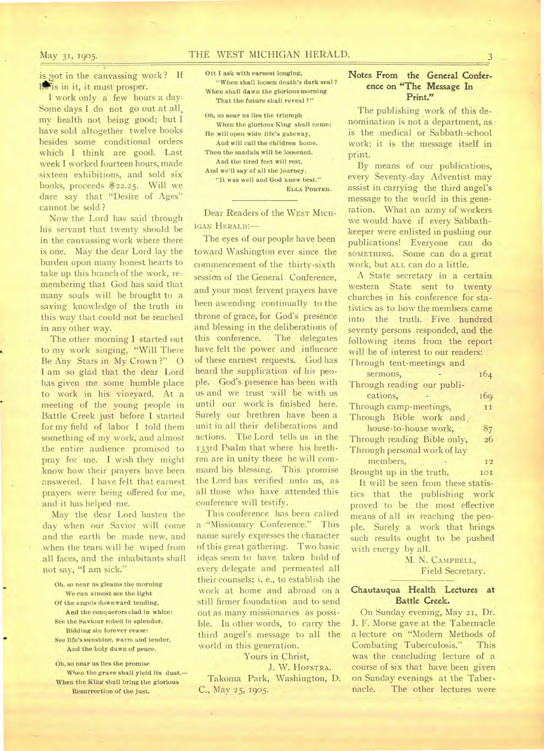# May 31, 1905. THE WEST MICHIGAN HERALD.

is not in the canvassing work? If lichter it, it must prosper.

I work only a few hours a day. Some days I do not go out at all, my health not being good; but I have sold altogether twelve books besides some conditional orders which I think are good. Last week I worked fourteen hours, made sixteen exhibitions, and sold six books, proceeds \$22.25. Will we dare say that "Desire of Ages" cannot be sold ?

Now the Lord has said through his servant that twenty should be in the canvassing work where there is one. May the dear Lord lay the burden upon many honest hearts to take up this branch of the work, remembering that God has said that many souls will be brought to a saving knowledge of the truth in this way that could not be reached in any other way.

The other morning I started out to my work singing, "Will There Be Any Stars in My Crown?" O I am so glad that the dear Lord has given me some humble place to work in his vineyard. At a meeting of the young people in Battle Creek just before I started for my field of labor I told them something of my work, and almost the entire audience promised to pray for me. I wish they might know how their prayers have been answered. I have felt that earnest prayers were being offered for me, and it has helped me.

May the dear Lord hasten the day when our Savior will come and the earth be made new, and when the tears will be wiped from all faces, and the inhabitants shall not say, "I am sick."

- Oh, so near us gleams the morning We can almost see the light
- Of the angels downward tending, And the conquerors clad in white:
- See the Saviour robed in splendor. Bidding sin forever cease:
- See life's sunshine, warm and tender, And the holy dawn of peace.

Oh, so near us lies the promise When the grave shall yield its dust,— When the King shall bring the glorious Resurrection of the just.

Ott I ask with earnest longing, "When shall loosen death's dark seal ? When shall dawn the glorious morning That the future shall reveal ?"

Oh, so near us lies the triumph When the glorious King shall come:

He will open wide life's gateway, And will call the children home.

Then the sandals will be loosened, And the tired feet will rest.

And we'll say of all the journey,

"It was well and God knew best." **ELLA PORTER.** 

Dear Readers of the WEST MICH-IGAN HERALD:—

The eyes of our people have been toward Washington ever since the commencement of the thirty-sixth session of the General Conference, and your most fervent prayers have been ascending continually to the throne of grace, for God's presence and blessing in the deliberations of this conference. The delegates have felt the power and influence of these earnest requests. God has heard the supplication of his people. God's presence has been with us and we trust will be with us until our work is finished here. Surely our brethren have been a unit in all their deliberations and actions. The Lord tells us in the 133rd Psalm that where his brethren are in unity there he will command his blessing. This promise the Lord has verified unto us, as all those who have attended this conference will testify.

This conference has been called a -"Missionary Conference." This name surely expresses the character of this great gathering. Two basic ideas seem to have taken hold of every delegate and permeated all their counsels; i. e., to establish the work at home and abroad on a still firmer foundation and to send out as many missionaries as possible. In other words, to carry the third angel's message to all the world in this generation.

# Yours in Christ,

J. W. HOFSTRA. Takoma Park, Washington, D.

C., May 25, 1905.

## Notes From the General Conference on "The Message In Print."

The publishing work of this denomination is not a department, as is the medical or Sabbath-school work; it is the message itself in print.

By means of our publications, every Seventy-day Adventist may assist in carrying the third angel's message to the world in this generation. What an army of workers we would have if every Sabbathkeeper were enlisted in pushing our publications! Everyone can do SOMETHING. Some can do a great work, but ALL can do a little.

A State secretary in a certain western State sent to twenty churches in his conference for statistics as to how the members came into the truth. Five hundred seventy persons responded, and the following items from the report will be of interest to our readers: Through tent-meetings and

sermons, 164 Through reading our publications,  $169$ Through camp-meetings, 11 Through Bible work and , house-to-house work, 87 Through reading Bible only, 26 Through personal work of lay members, 12 Brought up in the truth, 101 It will be seen from these statistics that the publishing work proved to be the most effective means of all in reaching the people. Surely a work that brings such results ought to be pushed

> M. N. CAMPBELL, Field Secretary.

### **Chautauqua Health Lectures at Battle Creek.**

with energy by all.

On Sunday evening, May 21, Dr. J. F. Morse gave at the Tabernacle a lecture on "Modern Methods of Combating Tuberculosis." This was the concluding lecture of a course of six that have been given on Sunday evenings at the Tabernacle. The other lectures were